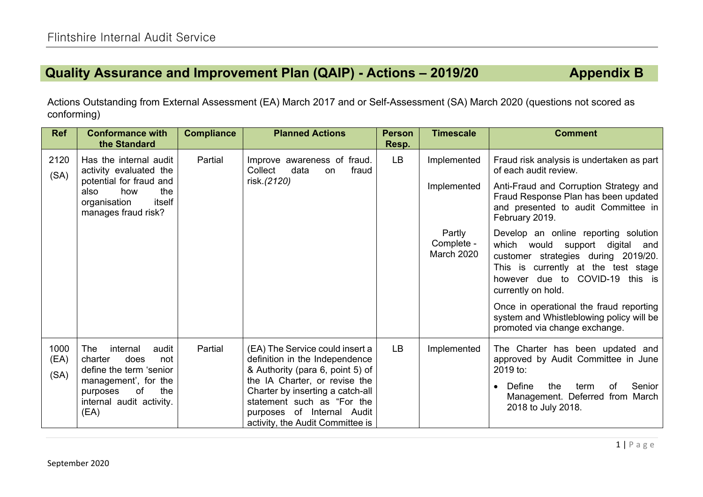## **Quality Assurance and Improvement Plan (QAIP) - Actions – 2019/20 Appendix B**

Actions Outstanding from External Assessment (EA) March 2017 and or Self-Assessment (SA) March 2020 (questions not scored as conforming)

| <b>Ref</b>           | <b>Conformance with</b><br>the Standard                                                                                                                            | <b>Compliance</b> | <b>Planned Actions</b>                                                                                                                                                                                                                                                     | <b>Person</b><br>Resp. | <b>Timescale</b>                   | <b>Comment</b>                                                                                                                                                                                                 |
|----------------------|--------------------------------------------------------------------------------------------------------------------------------------------------------------------|-------------------|----------------------------------------------------------------------------------------------------------------------------------------------------------------------------------------------------------------------------------------------------------------------------|------------------------|------------------------------------|----------------------------------------------------------------------------------------------------------------------------------------------------------------------------------------------------------------|
| 2120<br>(SA)         | Has the internal audit<br>activity evaluated the<br>potential for fraud and<br>the<br>also<br>how<br>itself<br>organisation<br>manages fraud risk?                 | Partial           | Improve awareness of fraud.<br>Collect<br>data<br>fraud<br>on<br>risk.(2120)                                                                                                                                                                                               | <b>LB</b>              | Implemented                        | Fraud risk analysis is undertaken as part<br>of each audit review.                                                                                                                                             |
|                      |                                                                                                                                                                    |                   |                                                                                                                                                                                                                                                                            |                        | Implemented                        | Anti-Fraud and Corruption Strategy and<br>Fraud Response Plan has been updated<br>and presented to audit Committee in<br>February 2019.                                                                        |
|                      |                                                                                                                                                                    |                   |                                                                                                                                                                                                                                                                            |                        | Partly<br>Complete -<br>March 2020 | Develop an online reporting solution<br>which would support digital and<br>customer strategies during 2019/20.<br>This is currently at the test stage<br>however due to COVID-19 this is<br>currently on hold. |
|                      |                                                                                                                                                                    |                   |                                                                                                                                                                                                                                                                            |                        |                                    | Once in operational the fraud reporting<br>system and Whistleblowing policy will be<br>promoted via change exchange.                                                                                           |
| 1000<br>(EA)<br>(SA) | The<br>internal<br>audit<br>charter<br>does<br>not<br>define the term 'senior<br>management', for the<br>of<br>the<br>purposes<br>internal audit activity.<br>(EA) | Partial           | (EA) The Service could insert a<br>definition in the Independence<br>& Authority (para 6, point 5) of<br>the IA Charter, or revise the<br>Charter by inserting a catch-all<br>statement such as "For the<br>purposes of Internal Audit<br>activity, the Audit Committee is | <b>LB</b>              | Implemented                        | The Charter has been updated and<br>approved by Audit Committee in June<br>2019 to:<br>Senior<br>Define<br>the<br>of<br>term<br>Management. Deferred from March<br>2018 to July 2018.                          |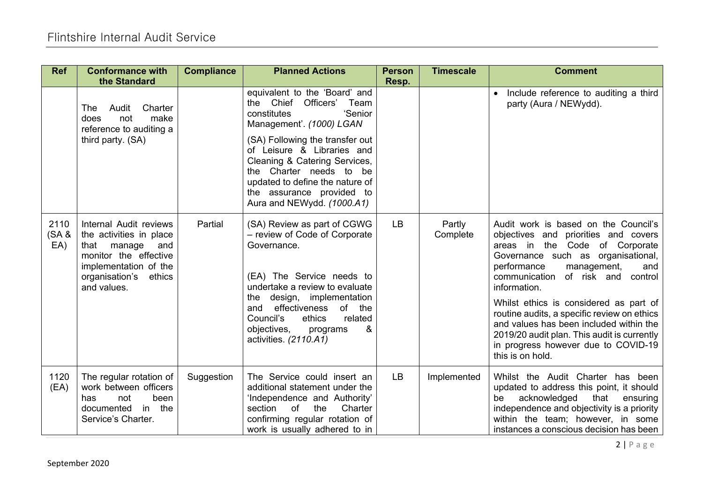| <b>Ref</b>           | <b>Conformance with</b><br>the Standard                                                                                                                                 | <b>Compliance</b> | <b>Planned Actions</b>                                                                                                                                                                                                                                                                                                                        | <b>Person</b><br>Resp. | <b>Timescale</b>   | <b>Comment</b>                                                                                                                                                                                                                                                                                                                                                                                                                                                                                     |
|----------------------|-------------------------------------------------------------------------------------------------------------------------------------------------------------------------|-------------------|-----------------------------------------------------------------------------------------------------------------------------------------------------------------------------------------------------------------------------------------------------------------------------------------------------------------------------------------------|------------------------|--------------------|----------------------------------------------------------------------------------------------------------------------------------------------------------------------------------------------------------------------------------------------------------------------------------------------------------------------------------------------------------------------------------------------------------------------------------------------------------------------------------------------------|
|                      | Audit<br>Charter<br>The<br>make<br>not<br>does<br>reference to auditing a<br>third party. (SA)                                                                          |                   | equivalent to the 'Board' and<br>the Chief Officers'<br>Team<br>'Senior<br>constitutes<br>Management'. (1000) LGAN<br>(SA) Following the transfer out<br>of Leisure & Libraries and<br>Cleaning & Catering Services,<br>the Charter needs to be<br>updated to define the nature of<br>the assurance provided to<br>Aura and NEWydd. (1000.A1) |                        |                    | Include reference to auditing a third<br>$\bullet$<br>party (Aura / NEWydd).                                                                                                                                                                                                                                                                                                                                                                                                                       |
| 2110<br>(SA &<br>EA) | Internal Audit reviews<br>the activities in place<br>that<br>manage<br>and<br>monitor the effective<br>implementation of the<br>ethics<br>organisation's<br>and values. | Partial           | (SA) Review as part of CGWG<br>- review of Code of Corporate<br>Governance.<br>(EA) The Service needs to<br>undertake a review to evaluate<br>design, implementation<br>the<br>effectiveness<br>of the<br>and<br>Council's<br>ethics<br>related<br>objectives,<br>&<br>programs<br>activities. (2110.A1)                                      | <b>LB</b>              | Partly<br>Complete | Audit work is based on the Council's<br>objectives and priorities and covers<br>areas in the Code of Corporate<br>Governance such as organisational,<br>performance<br>management,<br>and<br>communication<br>of risk and<br>control<br>information.<br>Whilst ethics is considered as part of<br>routine audits, a specific review on ethics<br>and values has been included within the<br>2019/20 audit plan. This audit is currently<br>in progress however due to COVID-19<br>this is on hold. |
| 1120<br>(EA)         | The regular rotation of<br>work between officers<br>been<br>not<br>has<br>in the<br>documented<br>Service's Charter.                                                    | Suggestion        | The Service could insert an<br>additional statement under the<br>'Independence and Authority'<br>section<br>of<br>the<br>Charter<br>confirming regular rotation of<br>work is usually adhered to in                                                                                                                                           | <b>LB</b>              | Implemented        | Whilst the Audit Charter has been<br>updated to address this point, it should<br>acknowledged<br>that<br>ensuring<br>be<br>independence and objectivity is a priority<br>within the team; however, in some<br>instances a conscious decision has been                                                                                                                                                                                                                                              |